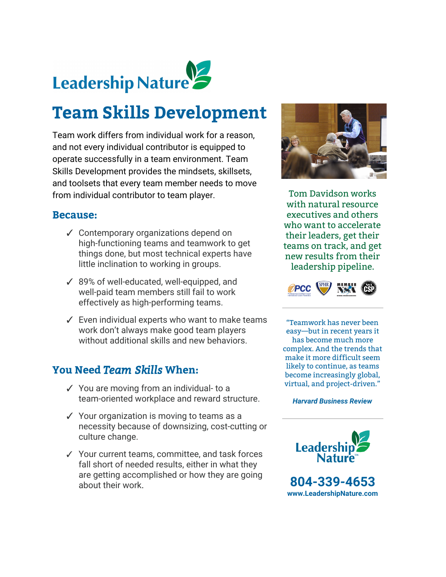

# **Team Skills Development**

Team work differs from individual work for a reason, and not every individual contributor is equipped to operate successfully in a team environment. Team Skills Development provides the mindsets, skillsets, and toolsets that every team member needs to move from individual contributor to team player.

#### **Because:**

- ✓ Contemporary organizations depend on high-functioning teams and teamwork to get things done, but most technical experts have little inclination to working in groups.
- ✓ 89% of well-educated, well-equipped, and well-paid team members still fail to work effectively as high-performing teams.
- ✓ Even individual experts who want to make teams work don't always make good team players without additional skills and new behaviors.

## **You Need** *Team Skills***When:**

- ✓ You are moving from an individual- to a team-oriented workplace and reward structure.
- ✓ Your organization is moving to teams as a necessity because of downsizing, cost-cutting or culture change.
- ✓ Your current teams, committee, and task forces fall short of needed results, either in what they are getting accomplished or how they are going about their work.



Tom Davidson works with natural resource executives and others who want to accelerate their leaders, get their teams on track, and get new results from their leadership pipeline.



"Teamwork has never been easy—but in recent years it has become much more complex. And the trends that make it more difficult seem likely to continue, as teams become increasingly global, virtual, and project-driven."

*Harvard Business Review*



**804-339-4653 [www.LeadershipNature.com](http://www.leadershipnature.com/)**